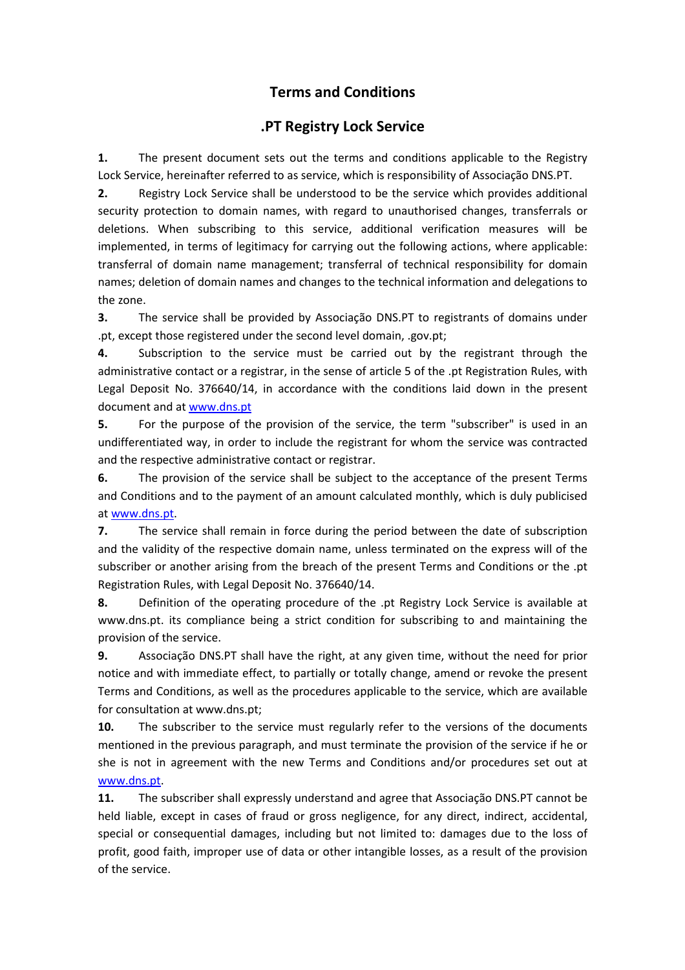## **Terms and Conditions**

## **.PT Registry Lock Service**

**1.** The present document sets out the terms and conditions applicable to the Registry Lock Service, hereinafter referred to as service, which is responsibility of Associação DNS.PT.

**2.** Registry Lock Service shall be understood to be the service which provides additional security protection to domain names, with regard to unauthorised changes, transferrals or deletions. When subscribing to this service, additional verification measures will be implemented, in terms of legitimacy for carrying out the following actions, where applicable: transferral of domain name management; transferral of technical responsibility for domain names; deletion of domain names and changes to the technical information and delegations to the zone.

**3.** The service shall be provided by Associação DNS.PT to registrants of domains under .pt, except those registered under the second level domain, .gov.pt;

**4.** Subscription to the service must be carried out by the registrant through the administrative contact or a registrar, in the sense of article 5 of the .pt Registration Rules, with Legal Deposit No. 376640/14, in accordance with the conditions laid down in the present document and at www.dns.pt

**5.** For the purpose of the provision of the service, the term "subscriber" is used in an undifferentiated way, in order to include the registrant for whom the service was contracted and the respective administrative contact or registrar.

**6.** The provision of the service shall be subject to the acceptance of the present Terms and Conditions and to the payment of an amount calculated monthly, which is duly publicised at www.dns.pt.

**7.** The service shall remain in force during the period between the date of subscription and the validity of the respective domain name, unless terminated on the express will of the subscriber or another arising from the breach of the present Terms and Conditions or the .pt Registration Rules, with Legal Deposit No. 376640/14.

**8.** Definition of the operating procedure of the .pt Registry Lock Service is available at www.dns.pt. its compliance being a strict condition for subscribing to and maintaining the provision of the service.

**9.** Associação DNS.PT shall have the right, at any given time, without the need for prior notice and with immediate effect, to partially or totally change, amend or revoke the present Terms and Conditions, as well as the procedures applicable to the service, which are available for consultation at www.dns.pt;

**10.** The subscriber to the service must regularly refer to the versions of the documents mentioned in the previous paragraph, and must terminate the provision of the service if he or she is not in agreement with the new Terms and Conditions and/or procedures set out at www.dns.pt.

**11.** The subscriber shall expressly understand and agree that Associação DNS.PT cannot be held liable, except in cases of fraud or gross negligence, for any direct, indirect, accidental, special or consequential damages, including but not limited to: damages due to the loss of profit, good faith, improper use of data or other intangible losses, as a result of the provision of the service.